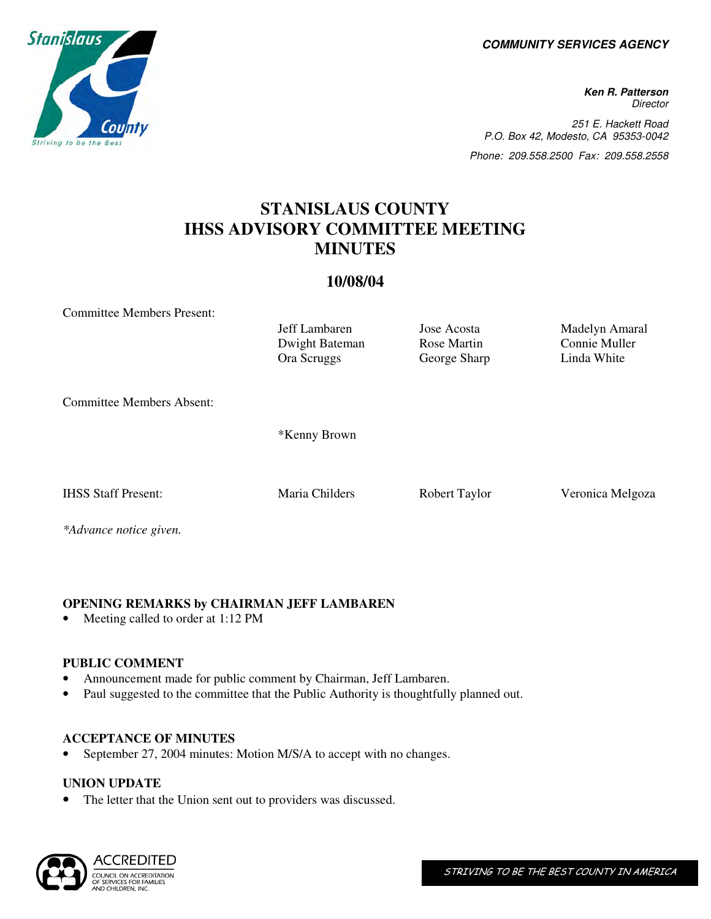**COMMUNITY SERVICES AGENCY** 

**Ken R. Patterson Director** 251 E. Hackett Road P.O. Box 42, Modesto, CA 95353-0042 Phone: 209.558.2500 Fax: 209.558.2558

# **STANISLAUS COUNTY IHSS ADVISORY COMMITTEE MEETING MINUTES**

# **10/08/04**

Committee Members Present:

Dwight Bateman Rose Martin Connie Muller<br>
Ora Scruggs George Sharp Linda White Ora Scruggs George Sharp Committee Members Absent: \*Kenny Brown

*\*Advance notice given.* 

# **OPENING REMARKS by CHAIRMAN JEFF LAMBAREN**

Meeting called to order at 1:12 PM

# **PUBLIC COMMENT**

- Announcement made for public comment by Chairman, Jeff Lambaren.
- Paul suggested to the committee that the Public Authority is thoughtfully planned out.

# **ACCEPTANCE OF MINUTES**

September 27, 2004 minutes: Motion M/S/A to accept with no changes.

# **UNION UPDATE**

The letter that the Union sent out to providers was discussed.







Jeff Lambaren Jose Acosta Madelyn Amaral

IHSS Staff Present: Maria Childers Robert Taylor Veronica Melgoza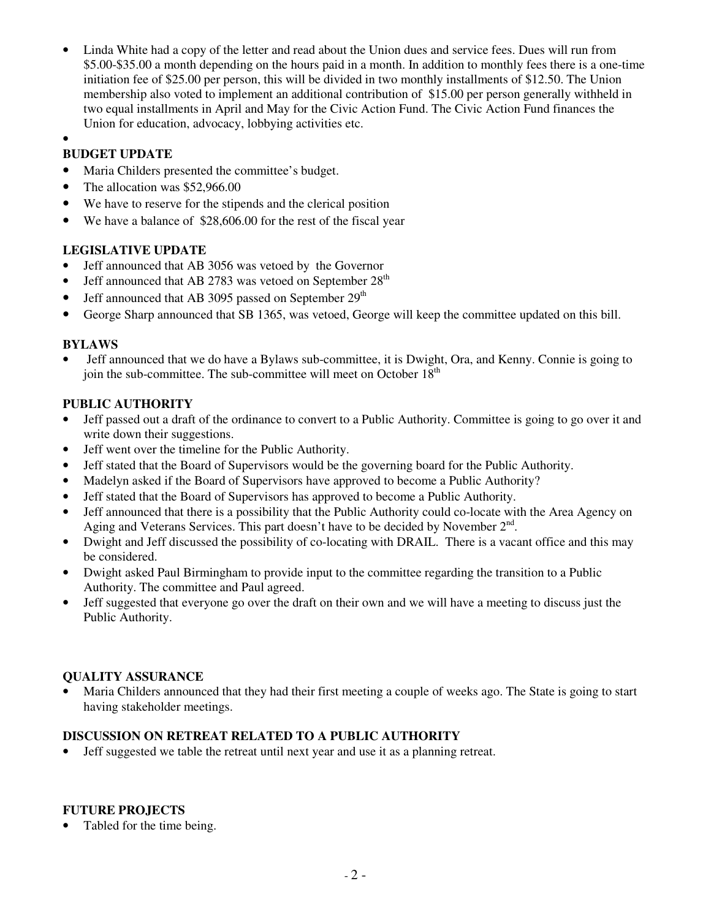- Linda White had a copy of the letter and read about the Union dues and service fees. Dues will run from \$5.00-\$35.00 a month depending on the hours paid in a month. In addition to monthly fees there is a one-time initiation fee of \$25.00 per person, this will be divided in two monthly installments of \$12.50. The Union membership also voted to implement an additional contribution of \$15.00 per person generally withheld in two equal installments in April and May for the Civic Action Fund. The Civic Action Fund finances the Union for education, advocacy, lobbying activities etc.
- •

# **BUDGET UPDATE**

- Maria Childers presented the committee's budget.
- The allocation was \$52,966.00
- We have to reserve for the stipends and the clerical position
- We have a balance of \$28,606.00 for the rest of the fiscal year

## **LEGISLATIVE UPDATE**

- Jeff announced that AB 3056 was vetoed by the Governor
- Jeff announced that AB 2783 was vetoed on September 28<sup>th</sup>
- Jeff announced that AB 3095 passed on September  $29<sup>th</sup>$
- George Sharp announced that SB 1365, was vetoed, George will keep the committee updated on this bill.

## **BYLAWS**

• Jeff announced that we do have a Bylaws sub-committee, it is Dwight, Ora, and Kenny. Connie is going to join the sub-committee. The sub-committee will meet on October 18<sup>th</sup>

## **PUBLIC AUTHORITY**

- Jeff passed out a draft of the ordinance to convert to a Public Authority. Committee is going to go over it and write down their suggestions.
- Jeff went over the timeline for the Public Authority.
- Jeff stated that the Board of Supervisors would be the governing board for the Public Authority.
- Madelyn asked if the Board of Supervisors have approved to become a Public Authority?
- Jeff stated that the Board of Supervisors has approved to become a Public Authority.
- Jeff announced that there is a possibility that the Public Authority could co-locate with the Area Agency on Aging and Veterans Services. This part doesn't have to be decided by November  $2<sup>nd</sup>$ .
- Dwight and Jeff discussed the possibility of co-locating with DRAIL. There is a vacant office and this may be considered.
- Dwight asked Paul Birmingham to provide input to the committee regarding the transition to a Public Authority. The committee and Paul agreed.
- Jeff suggested that everyone go over the draft on their own and we will have a meeting to discuss just the Public Authority.

#### **QUALITY ASSURANCE**

• Maria Childers announced that they had their first meeting a couple of weeks ago. The State is going to start having stakeholder meetings.

#### **DISCUSSION ON RETREAT RELATED TO A PUBLIC AUTHORITY**

• Jeff suggested we table the retreat until next year and use it as a planning retreat.

# **FUTURE PROJECTS**

Tabled for the time being.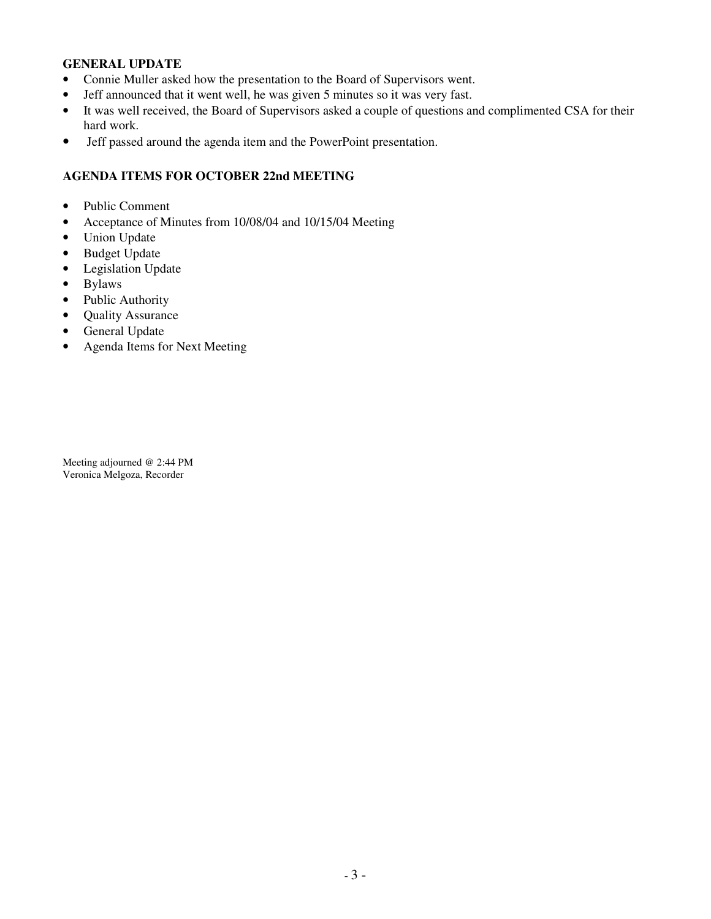#### **GENERAL UPDATE**

- Connie Muller asked how the presentation to the Board of Supervisors went.
- Jeff announced that it went well, he was given 5 minutes so it was very fast.
- It was well received, the Board of Supervisors asked a couple of questions and complimented CSA for their hard work.
- Jeff passed around the agenda item and the PowerPoint presentation.

#### **AGENDA ITEMS FOR OCTOBER 22nd MEETING**

- Public Comment
- Acceptance of Minutes from 10/08/04 and 10/15/04 Meeting
- Union Update
- Budget Update
- Legislation Update
- Bylaws
- Public Authority
- Quality Assurance
- General Update
- Agenda Items for Next Meeting

Meeting adjourned @ 2:44 PM Veronica Melgoza, Recorder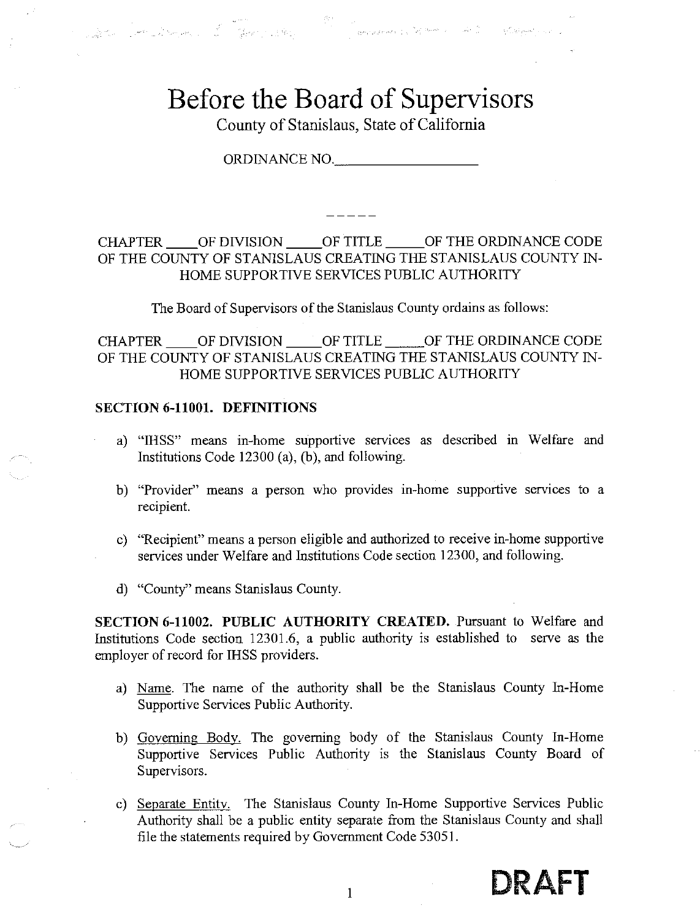# Before the Board of Supervisors

er (1989)<br>San San Domain (1989), San Salah (1989), San Salah (1989), San Salah (1989), Salah (1989), Salah (1989), Salah

County of Stanislaus, State of California

ORDINANCE NO.

# CHAPTER OF DIVISION OF TITLE OF THE ORDINANCE CODE OF THE COUNTY OF STANISLAUS CREATING THE STANISLAUS COUNTY IN-HOME SUPPORTIVE SERVICES PUBLIC AUTHORITY

The Board of Supervisors of the Stanislaus County ordains as follows:

CHAPTER \_\_\_\_ OF DIVISION \_\_\_\_\_ OF TITLE \_\_\_\_\_ OF THE ORDINANCE CODE OF THE COUNTY OF STANISLAUS CREATING THE STANISLAUS COUNTY IN-HOME SUPPORTIVE SERVICES PUBLIC AUTHORITY

#### **SECTION 6-11001. DEFINITIONS**

- a) "IHSS" means in-home supportive services as described in Welfare and Institutions Code 12300 (a), (b), and following.
- b) "Provider" means a person who provides in-home supportive services to a recipient.
- c) "Recipient" means a person eligible and authorized to receive in-home supportive services under Welfare and Institutions Code section 12300, and following.
- d) "County" means Stanislaus County.

SECTION 6-11002. PUBLIC AUTHORITY CREATED. Pursuant to Welfare and Institutions Code section 12301.6, a public authority is established to serve as the employer of record for IHSS providers.

- a) Name. The name of the authority shall be the Stanislaus County In-Home Supportive Services Public Authority.
- b) Governing Body. The governing body of the Stanislaus County In-Home Supportive Services Public Authority is the Stanislaus County Board of Supervisors.
- c) Separate Entity. The Stanislaus County In-Home Supportive Services Public Authority shall be a public entity separate from the Stanislaus County and shall file the statements required by Government Code 53051.

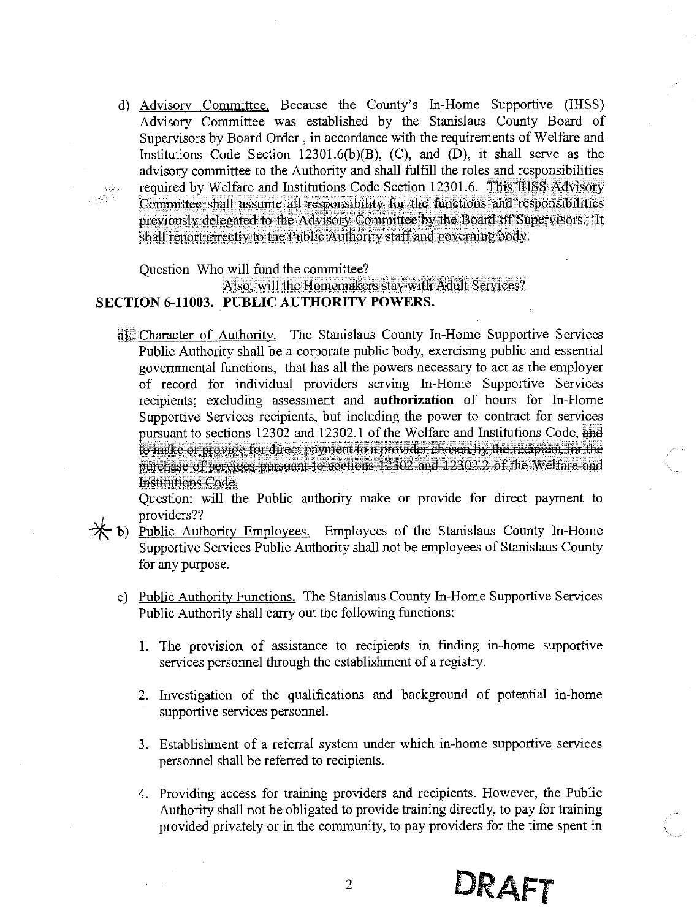d) Advisory Committee. Because the County's In-Home Supportive (IHSS) Advisory Committee was established by the Stanislaus County Board of Supervisors by Board Order, in accordance with the requirements of Welfare and Institutions Code Section 12301.6(b)(B), (C), and (D), it shall serve as the advisory committee to the Authority and shall fulfill the roles and responsibilities required by Welfare and Institutions Code Section 12301.6. This IHSS Advisory Committee shall assume all responsibility for the functions and responsibilities previously delegated to the Advisory Committee by the Board of Supervisors. It shall report directly to the Public Authority staff and governing body.

Question Who will fund the committee?

#### Also, will the Homemakers stay with Adult Services? SECTION 6-11003. PUBLIC AUTHORITY POWERS.

a) Character of Authority. The Stanislaus County In-Home Supportive Services Public Authority shall be a corporate public body, exercising public and essential governmental functions, that has all the powers necessary to act as the employer of record for individual providers serving In-Home Supportive Services recipients; excluding assessment and authorization of hours for In-Home Supportive Services recipients, but including the power to contract for services pursuant to sections 12302 and 12302.1 of the Welfare and Institutions Code, and to make or provide for direct payment to a provider chosen by the recipient for the purchase of services pursuant to sections 12302 and 12302.2 of the Welfare and Institutions Code.

Question: will the Public authority make or provide for direct payment to providers??

- $*$  b) Public Authority Employees. Employees of the Stanislaus County In-Home Supportive Services Public Authority shall not be employees of Stanislaus County for any purpose.
	- c) Public Authority Functions. The Stanislaus County In-Home Supportive Services Public Authority shall carry out the following functions:
		- 1. The provision of assistance to recipients in finding in-home supportive services personnel through the establishment of a registry.
		- 2. Investigation of the qualifications and background of potential in-home supportive services personnel.
		- 3. Establishment of a referral system under which in-home supportive services personnel shall be referred to recipients.
		- 4. Providing access for training providers and recipients. However, the Public Authority shall not be obligated to provide training directly, to pay for training provided privately or in the community, to pay providers for the time spent in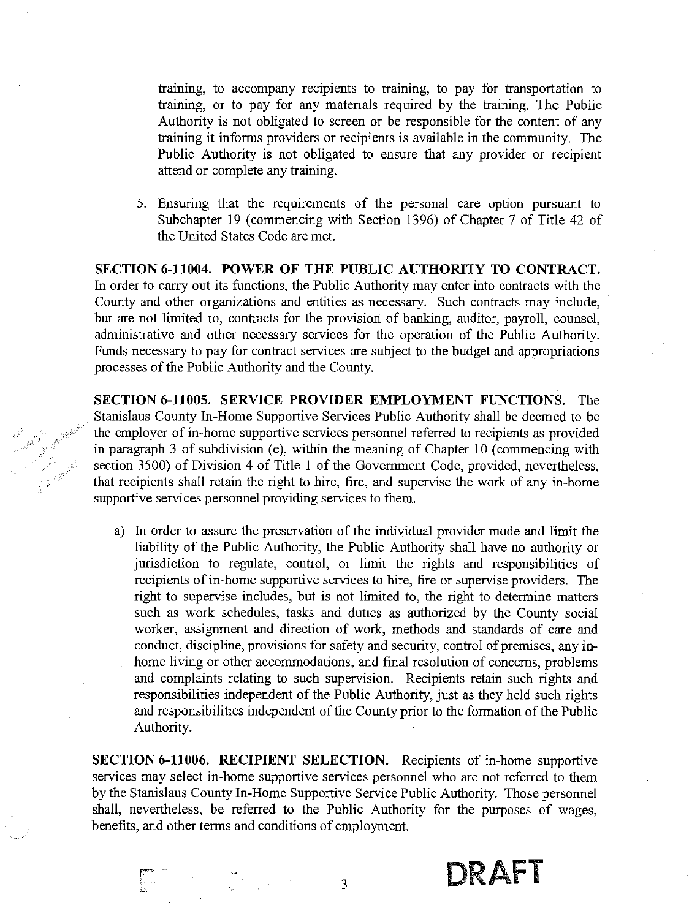training, to accompany recipients to training, to pay for transportation to training, or to pay for any materials required by the training. The Public Authority is not obligated to screen or be responsible for the content of any training it informs providers or recipients is available in the community. The Public Authority is not obligated to ensure that any provider or recipient attend or complete any training.

5. Ensuring that the requirements of the personal care option pursuant to Subchapter 19 (commencing with Section 1396) of Chapter 7 of Title 42 of the United States Code are met.

SECTION 6-11004. POWER OF THE PUBLIC AUTHORITY TO CONTRACT. In order to carry out its functions, the Public Authority may enter into contracts with the County and other organizations and entities as necessary. Such contracts may include, but are not limited to, contracts for the provision of banking, auditor, payroll, counsel, administrative and other necessary services for the operation of the Public Authority. Funds necessary to pay for contract services are subject to the budget and appropriations processes of the Public Authority and the County.

SECTION 6-11005. SERVICE PROVIDER EMPLOYMENT FUNCTIONS. The Stanislaus County In-Home Supportive Services Public Authority shall be deemed to be the employer of in-home supportive services personnel referred to recipients as provided in paragraph 3 of subdivision (e), within the meaning of Chapter 10 (commencing with section 3500) of Division 4 of Title 1 of the Government Code, provided, nevertheless, that recipients shall retain the right to hire, fire, and supervise the work of any in-home supportive services personnel providing services to them.

a) In order to assure the preservation of the individual provider mode and limit the liability of the Public Authority, the Public Authority shall have no authority or jurisdiction to regulate, control, or limit the rights and responsibilities of recipients of in-home supportive services to hire, fire or supervise providers. The right to supervise includes, but is not limited to, the right to determine matters such as work schedules, tasks and duties as authorized by the County social worker, assignment and direction of work, methods and standards of care and conduct, discipline, provisions for safety and security, control of premises, any inhome living or other accommodations, and final resolution of concerns, problems and complaints relating to such supervision. Recipients retain such rights and responsibilities independent of the Public Authority, just as they held such rights and responsibilities independent of the County prior to the formation of the Public Authority.

**SECTION 6-11006. RECIPIENT SELECTION.** Recipients of in-home supportive services may select in-home supportive services personnel who are not referred to them by the Stanislaus County In-Home Supportive Service Public Authority. Those personnel shall, nevertheless, be referred to the Public Authority for the purposes of wages, benefits, and other terms and conditions of employment.

DRAFT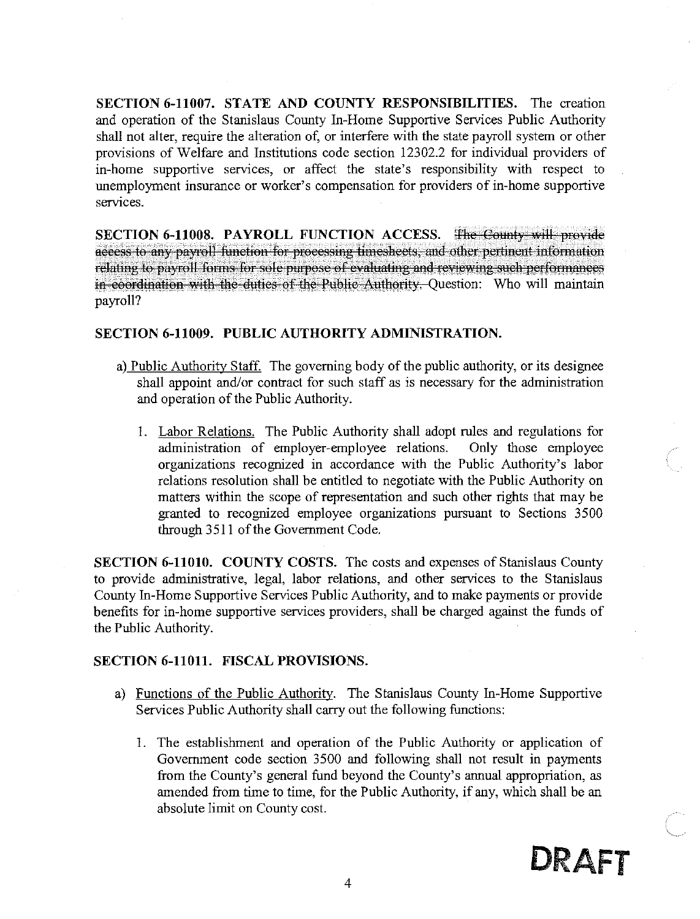SECTION 6-11007. STATE AND COUNTY RESPONSIBILITIES. The creation and operation of the Stanislaus County In-Home Supportive Services Public Authority shall not alter, require the alteration of, or interfere with the state payroll system or other provisions of Welfare and Institutions code section 12302.2 for individual providers of in-home supportive services, or affect the state's responsibility with respect to unemployment insurance or worker's compensation for providers of in-home supportive services.

SECTION 6-11008. PAYROLL FUNCTION ACCESS. The County will provide access to any payroll function for processing timesheets, and other pertinent information relating to payroll forms for sole purpose of evaluating and reviewing such performances in coordination with the duties of the Public Authority. Question: Who will maintain payroll?

#### SECTION 6-11009. PUBLIC AUTHORITY ADMINISTRATION.

- a) Public Authority Staff. The governing body of the public authority, or its designee shall appoint and/or contract for such staff as is necessary for the administration and operation of the Public Authority.
	- 1. Labor Relations. The Public Authority shall adopt rules and regulations for administration of employer-employee relations. Only those employee organizations recognized in accordance with the Public Authority's labor relations resolution shall be entitled to negotiate with the Public Authority on matters within the scope of representation and such other rights that may be granted to recognized employee organizations pursuant to Sections 3500 through 3511 of the Government Code.

**SECTION 6-11010. COUNTY COSTS.** The costs and expenses of Stanislaus County to provide administrative, legal, labor relations, and other services to the Stanislaus County In-Home Supportive Services Public Authority, and to make payments or provide benefits for in-home supportive services providers, shall be charged against the funds of the Public Authority.

#### **SECTION 6-11011. FISCAL PROVISIONS.**

- a) Functions of the Public Authority. The Stanislaus County In-Home Supportive Services Public Authority shall carry out the following functions:
	- 1. The establishment and operation of the Public Authority or application of Government code section 3500 and following shall not result in payments from the County's general fund beyond the County's annual appropriation, as amended from time to time, for the Public Authority, if any, which shall be an absolute limit on County cost.

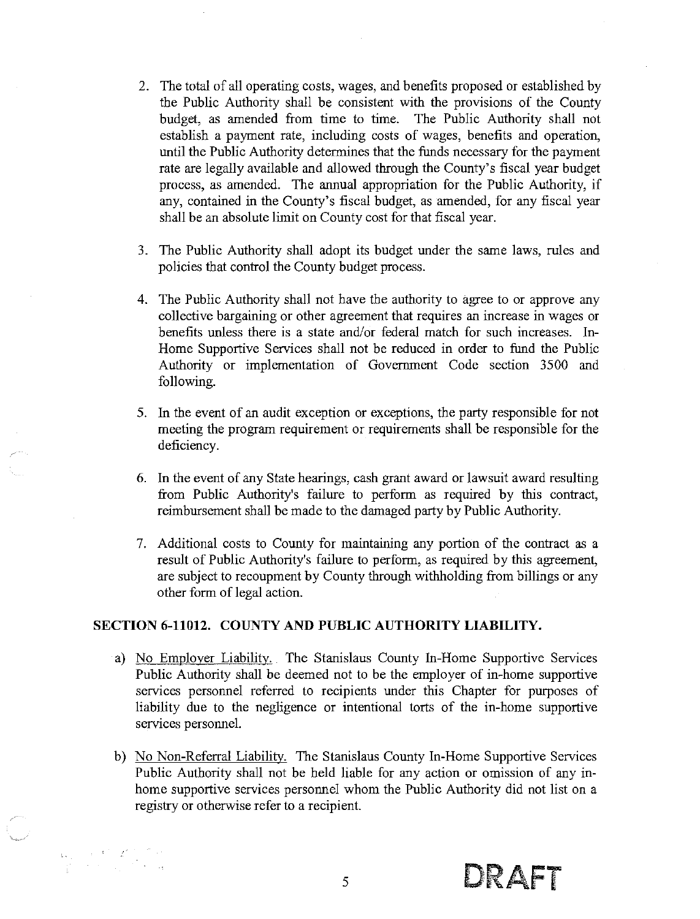- 2. The total of all operating costs, wages, and benefits proposed or established by the Public Authority shall be consistent with the provisions of the County budget, as amended from time to time. The Public Authority shall not establish a payment rate, including costs of wages, benefits and operation, until the Public Authority determines that the funds necessary for the payment rate are legally available and allowed through the County's fiscal year budget process, as amended. The annual appropriation for the Public Authority, if any, contained in the County's fiscal budget, as amended, for any fiscal year shall be an absolute limit on County cost for that fiscal year.
- 3. The Public Authority shall adopt its budget under the same laws, rules and policies that control the County budget process.
- 4. The Public Authority shall not have the authority to agree to or approve any collective bargaining or other agreement that requires an increase in wages or benefits unless there is a state and/or federal match for such increases. In-Home Supportive Services shall not be reduced in order to fund the Public Authority or implementation of Government Code section 3500 and following.
- 5. In the event of an audit exception or exceptions, the party responsible for not meeting the program requirement or requirements shall be responsible for the deficiency.
- 6. In the event of any State hearings, cash grant award or lawsuit award resulting from Public Authority's failure to perform as required by this contract, reimbursement shall be made to the damaged party by Public Authority.
- 7. Additional costs to County for maintaining any portion of the contract as a result of Public Authority's failure to perform, as required by this agreement, are subject to recoupment by County through withholding from billings or any other form of legal action.

#### SECTION 6-11012. COUNTY AND PUBLIC AUTHORITY LIABILITY.

- a) No Employer Liability. The Stanislaus County In-Home Supportive Services Public Authority shall be deemed not to be the employer of in-home supportive services personnel referred to recipients under this Chapter for purposes of liability due to the negligence or intentional torts of the in-home supportive services personnel.
- b) No Non-Referral Liability. The Stanislaus County In-Home Supportive Services Public Authority shall not be held liable for any action or omission of any inhome supportive services personnel whom the Public Authority did not list on a registry or otherwise refer to a recipient.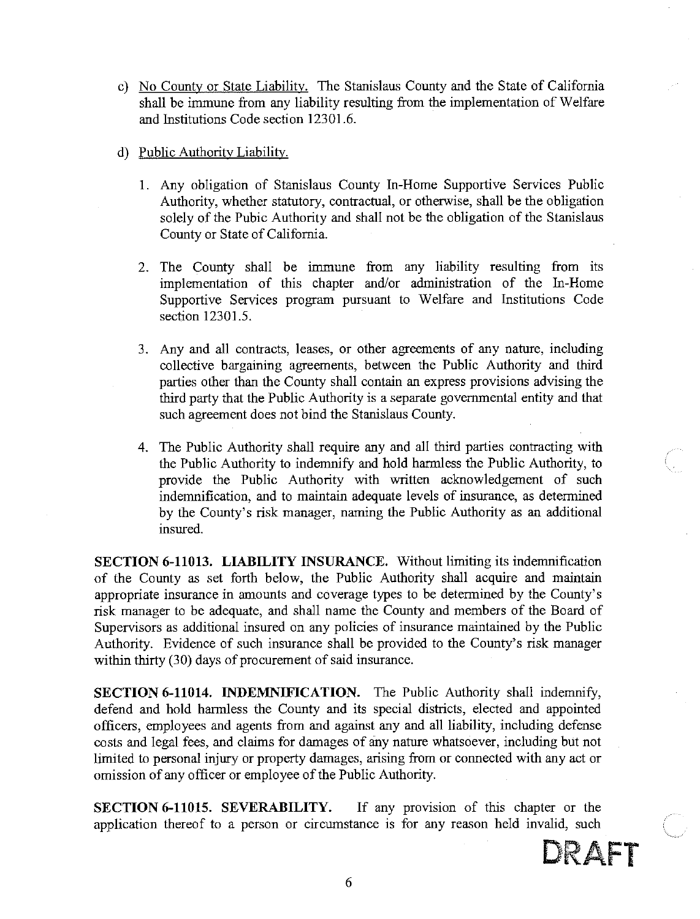- c) No County or State Liability. The Stanislaus County and the State of California shall be immune from any liability resulting from the implementation of Welfare and Institutions Code section 12301.6.
- d) Public Authority Liability.
	- 1. Any obligation of Stanislaus County In-Home Supportive Services Public Authority, whether statutory, contractual, or otherwise, shall be the obligation solely of the Pubic Authority and shall not be the obligation of the Stanislaus County or State of California.
	- 2. The County shall be immune from any liability resulting from its implementation of this chapter and/or administration of the In-Home Supportive Services program pursuant to Welfare and Institutions Code section 12301.5.
	- 3. Any and all contracts, leases, or other agreements of any nature, including collective bargaining agreements, between the Public Authority and third parties other than the County shall contain an express provisions advising the third party that the Public Authority is a separate governmental entity and that such agreement does not bind the Stanislaus County.
	- 4. The Public Authority shall require any and all third parties contracting with the Public Authority to indemnify and hold harmless the Public Authority, to provide the Public Authority with written acknowledgement of such indemnification, and to maintain adequate levels of insurance, as determined by the County's risk manager, naming the Public Authority as an additional insured.

**SECTION 6-11013. LIABILITY INSURANCE.** Without limiting its indemnification of the County as set forth below, the Public Authority shall acquire and maintain appropriate insurance in amounts and coverage types to be determined by the County's risk manager to be adequate, and shall name the County and members of the Board of Supervisors as additional insured on any policies of insurance maintained by the Public Authority. Evidence of such insurance shall be provided to the County's risk manager within thirty (30) days of procurement of said insurance.

**SECTION 6-11014. INDEMNIFICATION.** The Public Authority shall indemnify, defend and hold harmless the County and its special districts, elected and appointed officers, employees and agents from and against any and all liability, including defense costs and legal fees, and claims for damages of any nature whatsoever, including but not limited to personal injury or property damages, arising from or connected with any act or omission of any officer or employee of the Public Authority.

SECTION 6-11015. SEVERABILITY. If any provision of this chapter or the application thereof to a person or circumstance is for any reason held invalid, such

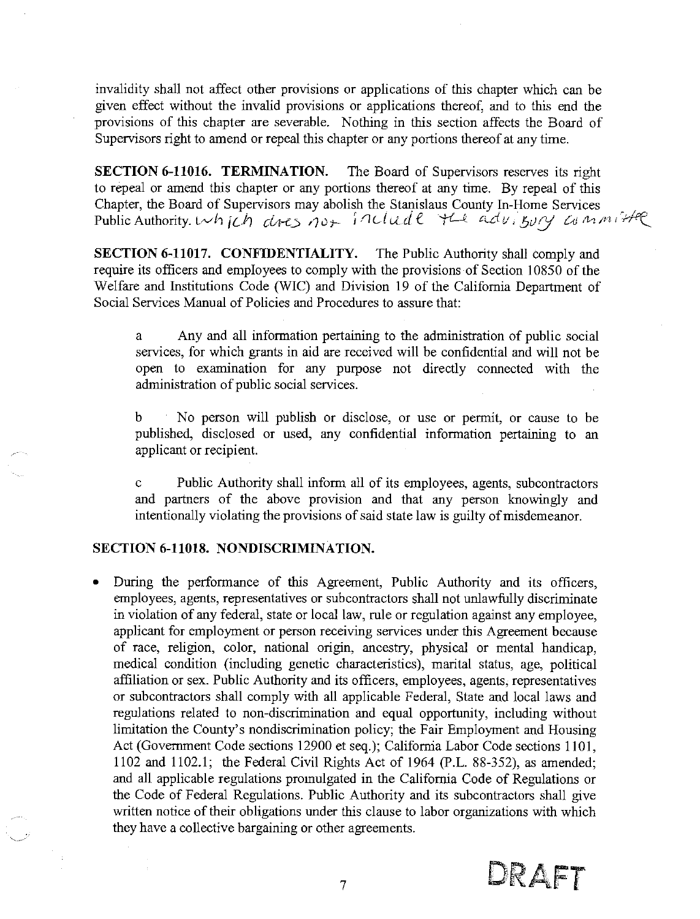invalidity shall not affect other provisions or applications of this chapter which can be given effect without the invalid provisions or applications thereof, and to this end the provisions of this chapter are severable. Nothing in this section affects the Board of Supervisors right to amend or repeal this chapter or any portions thereof at any time.

SECTION 6-11016. TERMINATION. The Board of Supervisors reserves its right to repeal or amend this chapter or any portions thereof at any time. By repeal of this Chapter, the Board of Supervisors may abolish the Stanislaus County In-Home Services<br>Public Authority. Wh *[Ch cl+es not* factual entity and  $u_i$  by  $u_j$  and  $v_i$  if the

SECTION 6-11017. CONFIDENTIALITY. The Public Authority shall comply and require its officers and employees to comply with the provisions of Section 10850 of the Welfare and Institutions Code (WIC) and Division 19 of the California Department of Social Services Manual of Policies and Procedures to assure that:

Any and all information pertaining to the administration of public social a services, for which grants in aid are received will be confidential and will not be open to examination for any purpose not directly connected with the administration of public social services.

No person will publish or disclose, or use or permit, or cause to be b published, disclosed or used, any confidential information pertaining to an applicant or recipient.

Public Authority shall inform all of its employees, agents, subcontractors  $\ddot{c}$ and partners of the above provision and that any person knowingly and intentionally violating the provisions of said state law is guilty of misdemeanor.

#### SECTION 6-11018. NONDISCRIMINATION.

During the performance of this Agreement, Public Authority and its officers, employees, agents, representatives or subcontractors shall not unlawfully discriminate in violation of any federal, state or local law, rule or regulation against any employee, applicant for employment or person receiving services under this Agreement because of race, religion, color, national origin, ancestry, physical or mental handicap, medical condition (including genetic characteristics), marital status, age, political affiliation or sex. Public Authority and its officers, employees, agents, representatives or subcontractors shall comply with all applicable Federal, State and local laws and regulations related to non-discrimination and equal opportunity, including without limitation the County's nondiscrimination policy; the Fair Employment and Housing Act (Government Code sections 12900 et seq.); Califorma Labor Code sections 1101, 1102 and 1102.1; the Federal Civil Rights Act of 1964 (P.L. 88-352), as amended; and all applicable regulations promulgated in the California Code of Regulations or the Code of Federal Regulations. Public Authority and its subcontractors shall give written notice of their obligations under this clause to labor organizations with which they have a collective bargaining or other agreements.